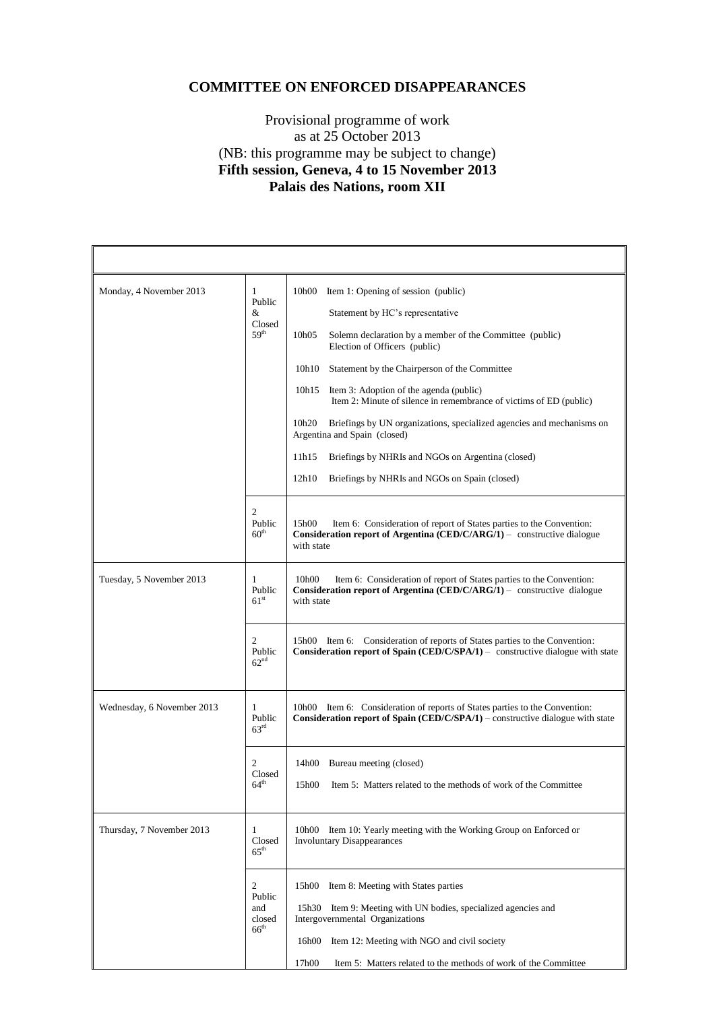## **COMMITTEE ON ENFORCED DISAPPEARANCES**

## Provisional programme of work as at 25 October 2013 (NB: this programme may be subject to change) **Fifth session, Geneva, 4 to 15 November 2013 Palais des Nations, room XII**

| Monday, 4 November 2013    | $\mathbf{1}$<br>Public<br>&<br>Closed<br>59 <sup>th</sup> | 10h00<br>Item 1: Opening of session (public)<br>Statement by HC's representative<br>10h05<br>Solemn declaration by a member of the Committee (public)<br>Election of Officers (public)<br>Statement by the Chairperson of the Committee<br>10h10<br>10h15 Item 3: Adoption of the agenda (public)<br>Item 2: Minute of silence in remembrance of victims of ED (public)<br>10h <sub>20</sub><br>Briefings by UN organizations, specialized agencies and mechanisms on<br>Argentina and Spain (closed)<br>11h15<br>Briefings by NHRIs and NGOs on Argentina (closed)<br>12h10<br>Briefings by NHRIs and NGOs on Spain (closed) |
|----------------------------|-----------------------------------------------------------|-------------------------------------------------------------------------------------------------------------------------------------------------------------------------------------------------------------------------------------------------------------------------------------------------------------------------------------------------------------------------------------------------------------------------------------------------------------------------------------------------------------------------------------------------------------------------------------------------------------------------------|
|                            | $\overline{c}$<br>Public<br>60 <sup>th</sup>              | Item 6: Consideration of report of States parties to the Convention:<br>15h00<br><b>Consideration report of Argentina (CED/C/ARG/1)</b> – constructive dialogue<br>with state                                                                                                                                                                                                                                                                                                                                                                                                                                                 |
| Tuesday, 5 November 2013   | 1<br>Public<br>61 <sup>st</sup>                           | Item 6: Consideration of report of States parties to the Convention:<br>10h00<br>Consideration report of Argentina (CED/C/ARG/1) - constructive dialogue<br>with state                                                                                                                                                                                                                                                                                                                                                                                                                                                        |
|                            | $\overline{c}$<br>Public<br>62 <sup>nd</sup>              | 15h00 Item 6: Consideration of reports of States parties to the Convention:<br><b>Consideration report of Spain (CED/C/SPA/1)</b> – constructive dialogue with state                                                                                                                                                                                                                                                                                                                                                                                                                                                          |
| Wednesday, 6 November 2013 | 1<br>Public<br>$63^{\rm rd}$                              | 10h00 Item 6: Consideration of reports of States parties to the Convention:<br>Consideration report of Spain (CED/C/SPA/1) – constructive dialogue with state                                                                                                                                                                                                                                                                                                                                                                                                                                                                 |
|                            | 2<br>Closed<br>$64^{\text{th}}$                           | 14h00 Bureau meeting (closed)<br>15h00<br>Item 5: Matters related to the methods of work of the Committee                                                                                                                                                                                                                                                                                                                                                                                                                                                                                                                     |
| Thursday, 7 November 2013  | 1<br>Closed<br>$65^{\text{th}}$                           | Item 10: Yearly meeting with the Working Group on Enforced or<br>10h00<br><b>Involuntary Disappearances</b>                                                                                                                                                                                                                                                                                                                                                                                                                                                                                                                   |
|                            | 2<br>Public<br>and<br>closed<br>66 <sup>th</sup>          | Item 8: Meeting with States parties<br>15h00<br>15h30 Item 9: Meeting with UN bodies, specialized agencies and<br>Intergovernmental Organizations<br>Item 12: Meeting with NGO and civil society<br>16h00<br>17h00<br>Item 5: Matters related to the methods of work of the Committee                                                                                                                                                                                                                                                                                                                                         |